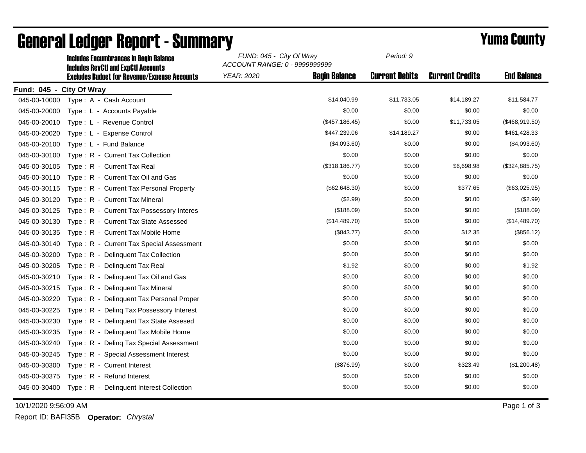|                          | <b>Includes Encumbrances in Begin Balance</b>                                                     | FUND: 045 - City Of Wray<br>ACCOUNT RANGE: 0 - 9999999999 | Period: 9             |                        |                    |
|--------------------------|---------------------------------------------------------------------------------------------------|-----------------------------------------------------------|-----------------------|------------------------|--------------------|
|                          | <b>Includes RevCtI and ExpCtI Accounts</b><br><b>Excludes Budget for Revenue/Expense Accounts</b> | <b>YEAR: 2020</b><br><b>Begin Balance</b>                 | <b>Current Debits</b> | <b>Current Credits</b> | <b>End Balance</b> |
| Fund: 045 - City Of Wray |                                                                                                   |                                                           |                       |                        |                    |
| 045-00-10000             | Type: A - Cash Account                                                                            | \$14,040.99                                               | \$11,733.05           | \$14,189.27            | \$11,584.77        |
| 045-00-20000             | Type: L - Accounts Payable                                                                        | \$0.00                                                    | \$0.00                | \$0.00                 | \$0.00             |
| 045-00-20010             | Type: L - Revenue Control                                                                         | (\$457, 186.45)                                           | \$0.00                | \$11,733.05            | (\$468,919.50)     |
| 045-00-20020             | Type: L - Expense Control                                                                         | \$447,239.06                                              | \$14,189.27           | \$0.00                 | \$461,428.33       |
| 045-00-20100             | Type: L - Fund Balance                                                                            | (\$4,093.60)                                              | \$0.00                | \$0.00                 | (\$4,093.60)       |
| 045-00-30100             | Type: R - Current Tax Collection                                                                  | \$0.00                                                    | \$0.00                | \$0.00                 | \$0.00             |
| 045-00-30105             | Type: R - Current Tax Real                                                                        | (\$318, 186.77)                                           | \$0.00                | \$6,698.98             | (\$324,885.75)     |
| 045-00-30110             | Type: R - Current Tax Oil and Gas                                                                 | \$0.00                                                    | \$0.00                | \$0.00                 | \$0.00             |
| 045-00-30115             | Type: R - Current Tax Personal Property                                                           | (\$62,648.30)                                             | \$0.00                | \$377.65               | (\$63,025.95)      |
| 045-00-30120             | Type: R - Current Tax Mineral                                                                     | (\$2.99)                                                  | \$0.00                | \$0.00                 | (\$2.99)           |
| 045-00-30125             | Type: R - Current Tax Possessory Interes                                                          | (\$188.09)                                                | \$0.00                | \$0.00                 | (\$188.09)         |
| 045-00-30130             | Type: R - Current Tax State Assessed                                                              | (\$14,489.70)                                             | \$0.00                | \$0.00                 | (\$14,489.70)      |
| 045-00-30135             | Type: R - Current Tax Mobile Home                                                                 | (\$843.77)                                                | \$0.00                | \$12.35                | (\$856.12)         |
| 045-00-30140             | Type: R - Current Tax Special Assessment                                                          | \$0.00                                                    | \$0.00                | \$0.00                 | \$0.00             |
| 045-00-30200             | Type: R - Delinquent Tax Collection                                                               | \$0.00                                                    | \$0.00                | \$0.00                 | \$0.00             |
| 045-00-30205             | Type: R - Delinquent Tax Real                                                                     | \$1.92                                                    | \$0.00                | \$0.00                 | \$1.92             |
| 045-00-30210             | Type: R - Delinquent Tax Oil and Gas                                                              | \$0.00                                                    | \$0.00                | \$0.00                 | \$0.00             |
| 045-00-30215             | Type: R - Delinguent Tax Mineral                                                                  | \$0.00                                                    | \$0.00                | \$0.00                 | \$0.00             |
| 045-00-30220             | Type: R - Delinquent Tax Personal Proper                                                          | \$0.00                                                    | \$0.00                | \$0.00                 | \$0.00             |
| 045-00-30225             | Type: R - Deling Tax Possessory Interest                                                          | \$0.00                                                    | \$0.00                | \$0.00                 | \$0.00             |
| 045-00-30230             | Type: R - Delinquent Tax State Assesed                                                            | \$0.00                                                    | \$0.00                | \$0.00                 | \$0.00             |
| 045-00-30235             | Type: R - Delinguent Tax Mobile Home                                                              | \$0.00                                                    | \$0.00                | \$0.00                 | \$0.00             |
| 045-00-30240             | Type: R - Deling Tax Special Assessment                                                           | \$0.00                                                    | \$0.00                | \$0.00                 | \$0.00             |
| 045-00-30245             | Type: R - Special Assessment Interest                                                             | \$0.00                                                    | \$0.00                | \$0.00                 | \$0.00             |
| 045-00-30300             | Type: R - Current Interest                                                                        | (\$876.99)                                                | \$0.00                | \$323.49               | (\$1,200.48)       |
| 045-00-30375             | Type: R - Refund Interest                                                                         | \$0.00                                                    | \$0.00                | \$0.00                 | \$0.00             |
| 045-00-30400             | Type: R - Delinquent Interest Collection                                                          | \$0.00                                                    | \$0.00                | \$0.00                 | \$0.00             |

## **General Ledger Report - Summary**<br>
Sunno: 045 - City Of Wray Period: 9<br> **FUND: 045 - City Of Wray**

10/1/2020 9:56:09 AM Page 1 of 3

*Period: 9*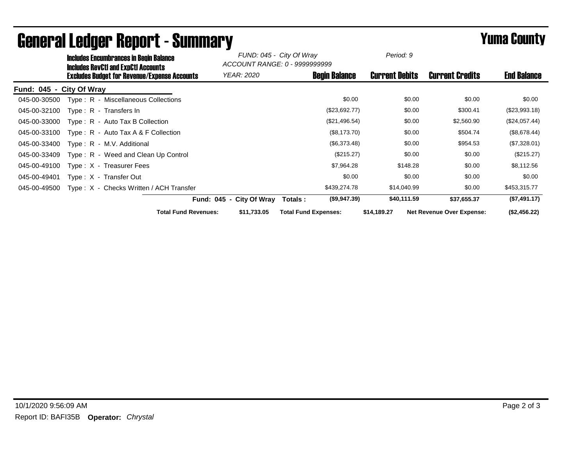| <b>Includes Encumbrances in Begin Balance</b><br><b>Includes RevCtI and ExpCtI Accounts</b> |                             | FUND: 045 - City Of Wray<br>ACCOUNT RANGE: 0 - 9999999999 |                             | Period: 9             |                                  |                    |
|---------------------------------------------------------------------------------------------|-----------------------------|-----------------------------------------------------------|-----------------------------|-----------------------|----------------------------------|--------------------|
| <b>Excludes Budget for Revenue/Expense Accounts</b>                                         | <b>YEAR: 2020</b>           |                                                           | <b>Begin Balance</b>        | <b>Current Debits</b> | <b>Current Credits</b>           | <b>End Balance</b> |
| Fund: 045 - City Of Wray                                                                    |                             |                                                           |                             |                       |                                  |                    |
| Type: R - Miscellaneous Collections<br>045-00-30500                                         |                             |                                                           | \$0.00                      | \$0.00                | \$0.00                           | \$0.00             |
| 045-00-32100<br>$Type: R - Transfers In$                                                    |                             |                                                           | (\$23,692.77)               | \$0.00                | \$300.41                         | (\$23,993.18)      |
| 045-00-33000<br>$Type: R - Auto Tax B Collection$                                           |                             |                                                           | (\$21,496.54)               | \$0.00                | \$2,560.90                       | (\$24,057.44)      |
| 045-00-33100<br>Type: $R -$ Auto Tax A & F Collection                                       |                             |                                                           | (\$8,173.70)                | \$0.00                | \$504.74                         | (\$8,678.44)       |
| 045-00-33400<br>Type: R - M.V. Additional                                                   |                             |                                                           | (\$6,373.48)                | \$0.00                | \$954.53                         | (\$7,328.01)       |
| 045-00-33409<br>Type: R - Weed and Clean Up Control                                         |                             |                                                           | (\$215.27)                  | \$0.00                | \$0.00                           | (\$215.27)         |
| 045-00-49100<br>Type: X - Treasurer Fees                                                    |                             |                                                           | \$7,964.28                  | \$148.28              | \$0.00                           | \$8,112.56         |
| 045-00-49401<br>Type: X - Transfer Out                                                      |                             |                                                           | \$0.00                      | \$0.00                | \$0.00                           | \$0.00             |
| Type: X - Checks Written / ACH Transfer<br>045-00-49500                                     |                             |                                                           | \$439,274.78                | \$14,040.99           | \$0.00                           | \$453,315.77       |
|                                                                                             | Fund: 045 - City Of Wray    |                                                           | (\$9,947.39)<br>Totals:     | \$40,111.59           | \$37,655.37                      | (\$7,491.17)       |
|                                                                                             | <b>Total Fund Revenues:</b> | \$11,733.05                                               | <b>Total Fund Expenses:</b> | \$14,189.27           | <b>Net Revenue Over Expense:</b> | (\$2,456.22)       |

## General Ledger Report - Summary **Example 2018** Yuma County